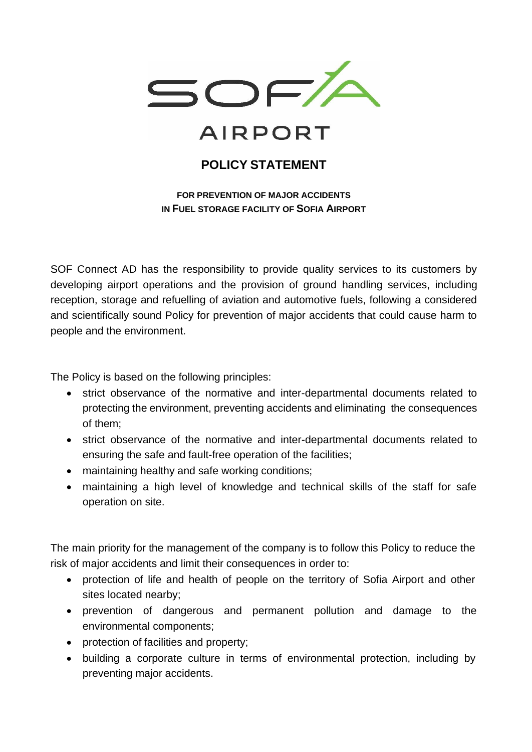

## **AIRPORT**

## **POLICY STATEMENT**

**FOR PREVENTION OF MAJOR ACCIDENTS IN FUEL STORAGE FACILITY OF SOFIA AIRPORT**

SOF Connect AD has the responsibility to provide quality services to its customers by developing airport operations and the provision of ground handling services, including reception, storage and refuelling of aviation and automotive fuels, following a considered and scientifically sound Policy for prevention of major accidents that could cause harm to people and the environment.

The Policy is based on the following principles:

- strict observance of the normative and inter-departmental documents related to protecting the environment, preventing accidents and eliminating the consequences of them;
- strict observance of the normative and inter-departmental documents related to ensuring the safe and fault-free operation of the facilities;
- maintaining healthy and safe working conditions;
- maintaining a high level of knowledge and technical skills of the staff for safe operation on site.

The main priority for the management of the company is to follow this Policy to reduce the risk of major accidents and limit their consequences in order to:

- protection of life and health of people on the territory of Sofia Airport and other sites located nearby;
- prevention of dangerous and permanent pollution and damage to the environmental components;
- protection of facilities and property;
- building a corporate culture in terms of environmental protection, including by preventing major accidents.